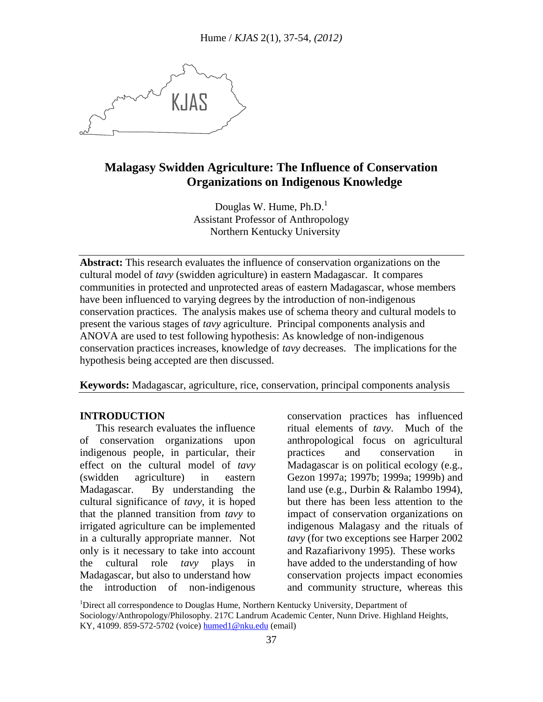KJAS

# **Malagasy Swidden Agriculture: The Influence of Conservation Organizations on Indigenous Knowledge**

Douglas W. Hume,  $Ph.D.<sup>1</sup>$ Assistant Professor of Anthropology Northern Kentucky University

**Abstract:** This research evaluates the influence of conservation organizations on the cultural model of *tavy* (swidden agriculture) in eastern Madagascar. It compares communities in protected and unprotected areas of eastern Madagascar, whose members have been influenced to varying degrees by the introduction of non-indigenous conservation practices. The analysis makes use of schema theory and cultural models to present the various stages of *tavy* agriculture. Principal components analysis and ANOVA are used to test following hypothesis: As knowledge of non-indigenous conservation practices increases, knowledge of *tavy* decreases. The implications for the hypothesis being accepted are then discussed.

**Keywords:** Madagascar, agriculture, rice, conservation, principal components analysis

## **INTRODUCTION**

 This research evaluates the influence of conservation organizations upon indigenous people, in particular, their effect on the cultural model of *tavy* (swidden agriculture) in eastern Madagascar. By understanding the cultural significance of *tavy*, it is hoped that the planned transition from *tavy* to irrigated agriculture can be implemented in a culturally appropriate manner. Not only is it necessary to take into account the cultural role *tavy* plays in Madagascar, but also to understand how the introduction of non-indigenous

conservation practices has influenced ritual elements of *tavy*. Much of the anthropological focus on agricultural practices and conservation in Madagascar is on political ecology (e.g., Gezon 1997a; 1997b; 1999a; 1999b) and land use (e.g., Durbin & Ralambo 1994), but there has been less attention to the impact of conservation organizations on indigenous Malagasy and the rituals of *tavy* (for two exceptions see Harper 2002 and Razafiarivony 1995). These works have added to the understanding of how conservation projects impact economies and community structure, whereas this

<sup>1</sup>Direct all correspondence to Douglas Hume, Northern Kentucky University, Department of Sociology/Anthropology/Philosophy. 217C Landrum Academic Center, Nunn Drive. Highland Heights, KY, 41099. 859-572-5702 (voice) humed1@nku.edu (email)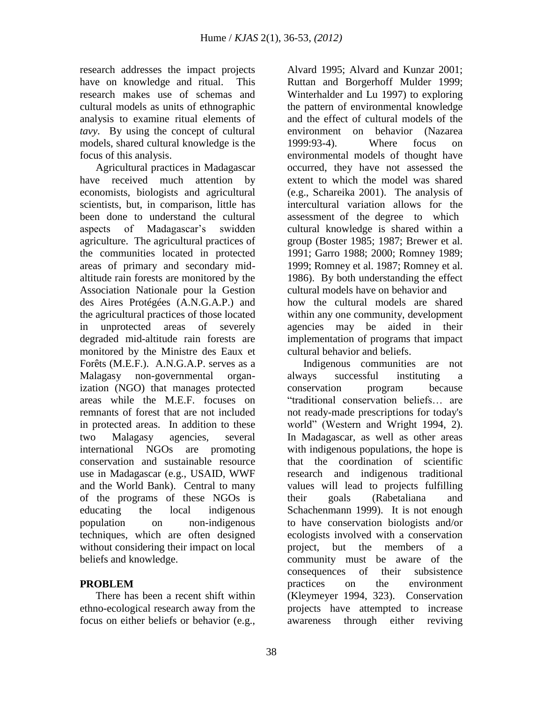research addresses the impact projects have on knowledge and ritual. This research makes use of schemas and cultural models as units of ethnographic analysis to examine ritual elements of *tavy*. By using the concept of cultural models, shared cultural knowledge is the focus of this analysis.

 Agricultural practices in Madagascar have received much attention by economists, biologists and agricultural scientists, but, in comparison, little has been done to understand the cultural aspects of Madagascar's swidden agriculture. The agricultural practices of the communities located in protected areas of primary and secondary midaltitude rain forests are monitored by the Association Nationale pour la Gestion des Aires Protégées (A.N.G.A.P.) and the agricultural practices of those located in unprotected areas of severely degraded mid-altitude rain forests are monitored by the Ministre des Eaux et Forêts (M.E.F.). A.N.G.A.P. serves as a Malagasy non-governmental organization (NGO) that manages protected areas while the M.E.F. focuses on remnants of forest that are not included in protected areas. In addition to these two Malagasy agencies, several international NGOs are promoting conservation and sustainable resource use in Madagascar (e.g., USAID, WWF and the World Bank). Central to many of the programs of these NGOs is educating the local indigenous population on non-indigenous techniques, which are often designed without considering their impact on local beliefs and knowledge.

## **PROBLEM**

 There has been a recent shift within ethno-ecological research away from the focus on either beliefs or behavior (e.g., Alvard 1995; Alvard and Kunzar 2001; Ruttan and Borgerhoff Mulder 1999; Winterhalder and Lu 1997) to exploring the pattern of environmental knowledge and the effect of cultural models of the environment on behavior (Nazarea 1999:93-4). Where focus on environmental models of thought have occurred, they have not assessed the extent to which the model was shared (e.g., Schareika 2001). The analysis of intercultural variation allows for the assessment of the degree to which cultural knowledge is shared within a group (Boster 1985; 1987; Brewer et al. 1991; Garro 1988; 2000; Romney 1989; 1999; Romney et al. 1987; Romney et al. 1986). By both understanding the effect cultural models have on behavior and how the cultural models are shared within any one community, development agencies may be aided in their implementation of programs that impact cultural behavior and beliefs.

 Indigenous communities are not always successful instituting a conservation program because "traditional conservation beliefs… are not ready-made prescriptions for today's world" (Western and Wright 1994, 2). In Madagascar, as well as other areas with indigenous populations, the hope is that the coordination of scientific research and indigenous traditional values will lead to projects fulfilling their goals (Rabetaliana and Schachenmann 1999). It is not enough to have conservation biologists and/or ecologists involved with a conservation project, but the members of a community must be aware of the consequences of their subsistence practices on the environment (Kleymeyer 1994, 323). Conservation projects have attempted to increase awareness through either reviving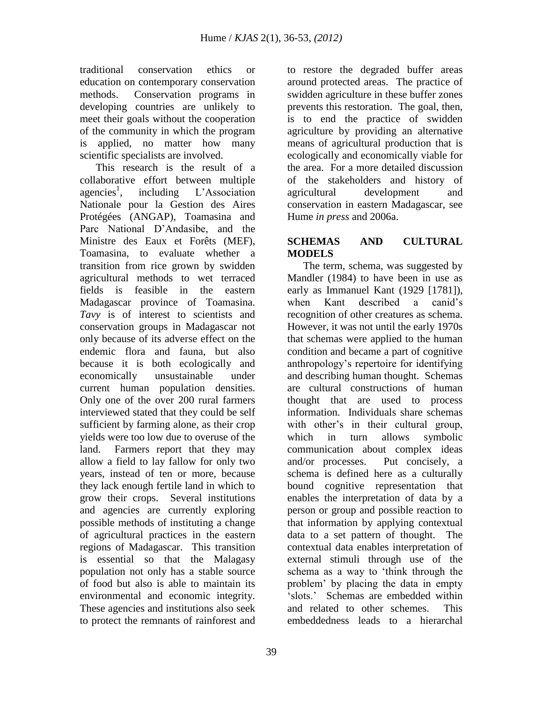traditional conservation ethics or education on contemporary conservation methods. Conservation programs in developing countries are unlikely to meet their goals without the cooperation of the community in which the program is applied, no matter how many scientific specialists are involved.

 This research is the result of a collaborative effort between multiple agencies<sup>1</sup>. including L'Association Nationale pour la Gestion des Aires Protégées (ANGAP), Toamasina and Parc National D'Andasibe, and the Ministre des Eaux et Forêts (MEF), Toamasina, to evaluate whether a transition from rice grown by swidden agricultural methods to wet terraced fields is feasible in the eastern Madagascar province of Toamasina. *Tavy* is of interest to scientists and conservation groups in Madagascar not only because of its adverse effect on the endemic flora and fauna, but also because it is both ecologically and economically unsustainable under current human population densities. Only one of the over 200 rural farmers interviewed stated that they could be self sufficient by farming alone, as their crop yields were too low due to overuse of the land. Farmers report that they may allow a field to lay fallow for only two years, instead of ten or more, because they lack enough fertile land in which to grow their crops. Several institutions and agencies are currently exploring possible methods of instituting a change of agricultural practices in the eastern regions of Madagascar. This transition is essential so that the Malagasy population not only has a stable source of food but also is able to maintain its environmental and economic integrity. These agencies and institutions also seek to protect the remnants of rainforest and

to restore the degraded buffer areas around protected areas. The practice of swidden agriculture in these buffer zones prevents this restoration. The goal, then, is to end the practice of swidden agriculture by providing an alternative means of agricultural production that is ecologically and economically viable for the area. For a more detailed discussion of the stakeholders and history of agricultural development and conservation in eastern Madagascar, see Hume *in press* and 2006a.

## **SCHEMAS AND CULTURAL MODELS**

 The term, schema, was suggested by Mandler (1984) to have been in use as early as Immanuel Kant (1929 [1781]), when Kant described a canid's recognition of other creatures as schema. However, it was not until the early 1970s that schemas were applied to the human condition and became a part of cognitive anthropology's repertoire for identifying and describing human thought. Schemas are cultural constructions of human thought that are used to process information. Individuals share schemas with other's in their cultural group, which in turn allows symbolic communication about complex ideas and/or processes. Put concisely, a schema is defined here as a culturally bound cognitive representation that enables the interpretation of data by a person or group and possible reaction to that information by applying contextual data to a set pattern of thought. The contextual data enables interpretation of external stimuli through use of the schema as a way to 'think through the problem' by placing the data in empty 'slots.' Schemas are embedded within and related to other schemes. This embeddedness leads to a hierarchal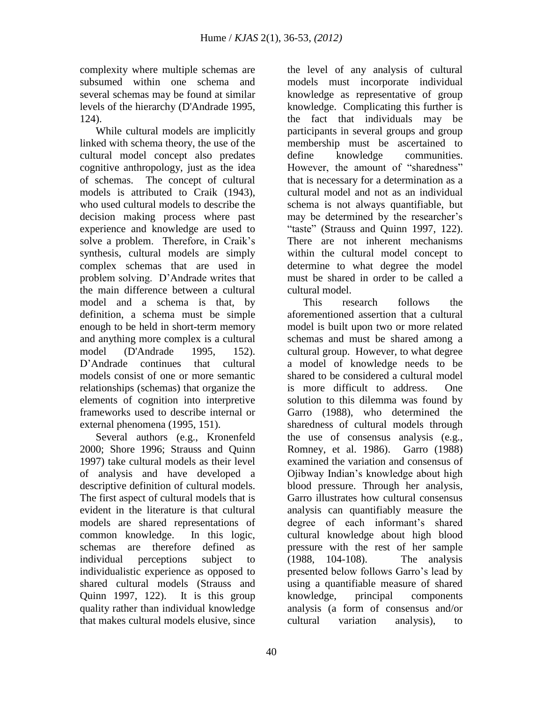complexity where multiple schemas are subsumed within one schema and several schemas may be found at similar levels of the hierarchy (D'Andrade 1995, 124).

 While cultural models are implicitly linked with schema theory, the use of the cultural model concept also predates cognitive anthropology, just as the idea of schemas. The concept of cultural models is attributed to Craik (1943), who used cultural models to describe the decision making process where past experience and knowledge are used to solve a problem. Therefore, in Craik's synthesis, cultural models are simply complex schemas that are used in problem solving. D'Andrade writes that the main difference between a cultural model and a schema is that, by definition, a schema must be simple enough to be held in short-term memory and anything more complex is a cultural model (D'Andrade 1995, 152). D'Andrade continues that cultural models consist of one or more semantic relationships (schemas) that organize the elements of cognition into interpretive frameworks used to describe internal or external phenomena (1995, 151).

 Several authors (e.g., Kronenfeld 2000; Shore 1996; Strauss and Quinn 1997) take cultural models as their level of analysis and have developed a descriptive definition of cultural models. The first aspect of cultural models that is evident in the literature is that cultural models are shared representations of common knowledge. In this logic, schemas are therefore defined as individual perceptions subject to individualistic experience as opposed to shared cultural models (Strauss and Quinn 1997, 122). It is this group quality rather than individual knowledge that makes cultural models elusive, since

the level of any analysis of cultural models must incorporate individual knowledge as representative of group knowledge. Complicating this further is the fact that individuals may be participants in several groups and group membership must be ascertained to define knowledge communities. However, the amount of "sharedness" that is necessary for a determination as a cultural model and not as an individual schema is not always quantifiable, but may be determined by the researcher's "taste" (Strauss and Quinn 1997, 122). There are not inherent mechanisms within the cultural model concept to determine to what degree the model must be shared in order to be called a cultural model.

 This research follows the aforementioned assertion that a cultural model is built upon two or more related schemas and must be shared among a cultural group. However, to what degree a model of knowledge needs to be shared to be considered a cultural model is more difficult to address. One solution to this dilemma was found by Garro (1988), who determined the sharedness of cultural models through the use of consensus analysis (e.g., Romney, et al. 1986). Garro (1988) examined the variation and consensus of Ojibway Indian's knowledge about high blood pressure. Through her analysis, Garro illustrates how cultural consensus analysis can quantifiably measure the degree of each informant's shared cultural knowledge about high blood pressure with the rest of her sample (1988, 104-108). The analysis presented below follows Garro's lead by using a quantifiable measure of shared knowledge, principal components analysis (a form of consensus and/or cultural variation analysis), to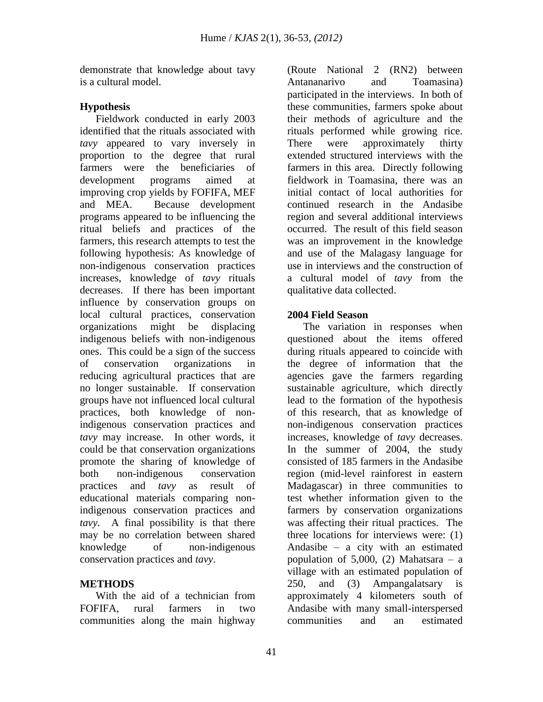demonstrate that knowledge about tavy is a cultural model.

## **Hypothesis**

 Fieldwork conducted in early 2003 identified that the rituals associated with *tavy* appeared to vary inversely in proportion to the degree that rural farmers were the beneficiaries of development programs aimed at improving crop yields by FOFIFA, MEF and MEA. Because development programs appeared to be influencing the ritual beliefs and practices of the farmers, this research attempts to test the following hypothesis: As knowledge of non-indigenous conservation practices increases, knowledge of *tavy* rituals decreases. If there has been important influence by conservation groups on local cultural practices, conservation organizations might be displacing indigenous beliefs with non-indigenous ones. This could be a sign of the success of conservation organizations in reducing agricultural practices that are no longer sustainable. If conservation groups have not influenced local cultural practices, both knowledge of nonindigenous conservation practices and *tavy* may increase. In other words, it could be that conservation organizations promote the sharing of knowledge of both non-indigenous conservation practices and *tavy* as result of educational materials comparing nonindigenous conservation practices and *tavy*. A final possibility is that there may be no correlation between shared knowledge of non-indigenous conservation practices and *tavy*.

## **METHODS**

 With the aid of a technician from FOFIFA, rural farmers in two communities along the main highway

(Route National 2 (RN2) between Antananarivo and Toamasina) participated in the interviews. In both of these communities, farmers spoke about their methods of agriculture and the rituals performed while growing rice. There were approximately thirty extended structured interviews with the farmers in this area. Directly following fieldwork in Toamasina, there was an initial contact of local authorities for continued research in the Andasibe region and several additional interviews occurred. The result of this field season was an improvement in the knowledge and use of the Malagasy language for use in interviews and the construction of a cultural model of *tavy* from the qualitative data collected.

## **2004 Field Season**

 The variation in responses when questioned about the items offered during rituals appeared to coincide with the degree of information that the agencies gave the farmers regarding sustainable agriculture, which directly lead to the formation of the hypothesis of this research, that as knowledge of non-indigenous conservation practices increases, knowledge of *tavy* decreases. In the summer of 2004, the study consisted of 185 farmers in the Andasibe region (mid-level rainforest in eastern Madagascar) in three communities to test whether information given to the farmers by conservation organizations was affecting their ritual practices. The three locations for interviews were: (1) Andasibe – a city with an estimated population of  $5,000$ , (2) Mahatsara – a village with an estimated population of 250, and (3) Ampangalatsary is approximately 4 kilometers south of Andasibe with many small-interspersed communities and an estimated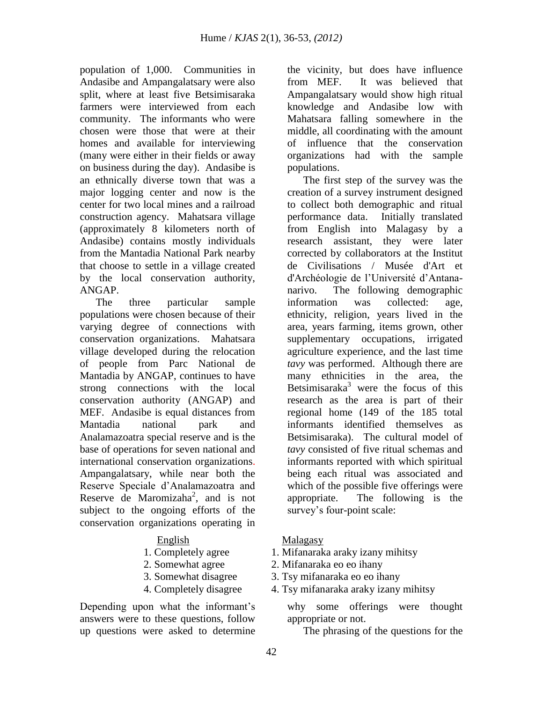population of 1,000. Communities in Andasibe and Ampangalatsary were also split, where at least five Betsimisaraka farmers were interviewed from each community. The informants who were chosen were those that were at their homes and available for interviewing (many were either in their fields or away on business during the day). Andasibe is an ethnically diverse town that was a major logging center and now is the center for two local mines and a railroad construction agency. Mahatsara village (approximately 8 kilometers north of Andasibe) contains mostly individuals from the Mantadia National Park nearby that choose to settle in a village created by the local conservation authority, ANGAP.

 The three particular sample populations were chosen because of their varying degree of connections with conservation organizations. Mahatsara village developed during the relocation of people from Parc National de Mantadia by ANGAP, continues to have strong connections with the local conservation authority (ANGAP) and MEF. Andasibe is equal distances from Mantadia national park and Analamazoatra special reserve and is the base of operations for seven national and international conservation organizations. Ampangalatsary, while near both the Reserve Speciale d'Analamazoatra and Reserve de Maromizaha<sup>2</sup>, and is not subject to the ongoing efforts of the conservation organizations operating in

- 
- 
- 
- 

Depending upon what the informant's answers were to these questions, follow up questions were asked to determine the vicinity, but does have influence from MEF. It was believed that Ampangalatsary would show high ritual knowledge and Andasibe low with Mahatsara falling somewhere in the middle, all coordinating with the amount of influence that the conservation organizations had with the sample populations.

 The first step of the survey was the creation of a survey instrument designed to collect both demographic and ritual performance data. Initially translated from English into Malagasy by a research assistant, they were later corrected by collaborators at the Institut de Civilisations / Musée d'Art et d'Archéologie de l'Université d'Antananarivo. The following demographic information was collected: age, ethnicity, religion, years lived in the area, years farming, items grown, other supplementary occupations, irrigated agriculture experience, and the last time *tavy* was performed. Although there are many ethnicities in the area, the Betsimisaraka<sup>3</sup> were the focus of this research as the area is part of their regional home (149 of the 185 total informants identified themselves as Betsimisaraka). The cultural model of *tavy* consisted of five ritual schemas and informants reported with which spiritual being each ritual was associated and which of the possible five offerings were appropriate. The following is the survey's four-point scale:

#### English Malagasy

- 1. Completely agree 1. Mifanaraka araky izany mihitsy
- 2. Somewhat agree 2. Mifanaraka eo eo ihany
- 3. Somewhat disagree 3. Tsy mifanaraka eo eo ihany
- 4. Completely disagree 4. Tsy mifanaraka araky izany mihitsy

why some offerings were thought appropriate or not.

The phrasing of the questions for the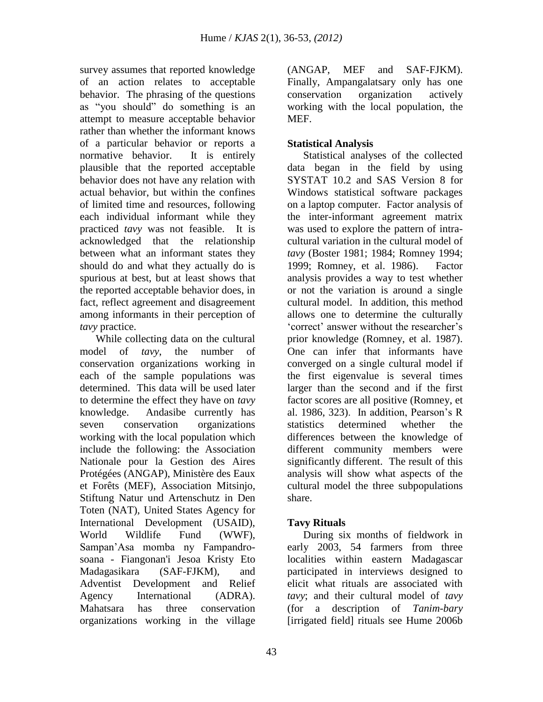survey assumes that reported knowledge of an action relates to acceptable behavior. The phrasing of the questions as "you should" do something is an attempt to measure acceptable behavior rather than whether the informant knows of a particular behavior or reports a normative behavior. It is entirely plausible that the reported acceptable behavior does not have any relation with actual behavior, but within the confines of limited time and resources, following each individual informant while they practiced *tavy* was not feasible. It is acknowledged that the relationship between what an informant states they should do and what they actually do is spurious at best, but at least shows that the reported acceptable behavior does, in fact, reflect agreement and disagreement among informants in their perception of *tavy* practice.

 While collecting data on the cultural model of *tavy*, the number of conservation organizations working in each of the sample populations was determined. This data will be used later to determine the effect they have on *tavy* knowledge. Andasibe currently has seven conservation organizations working with the local population which include the following: the Association Nationale pour la Gestion des Aires Protégées (ANGAP), Ministère des Eaux et Forêts (MEF), Association Mitsinjo, Stiftung Natur und Artenschutz in Den Toten (NAT), United States Agency for International Development (USAID), World Wildlife Fund (WWF), Sampan'Asa momba ny Fampandrosoana - Fiangonan'i Jesoa Kristy Eto Madagasikara (SAF-FJKM), and Adventist Development and Relief Agency International (ADRA). Mahatsara has three conservation organizations working in the village

(ANGAP, MEF and SAF-FJKM). Finally, Ampangalatsary only has one conservation organization actively working with the local population, the MEF.

## **Statistical Analysis**

 Statistical analyses of the collected data began in the field by using SYSTAT 10.2 and SAS Version 8 for Windows statistical software packages on a laptop computer. Factor analysis of the inter-informant agreement matrix was used to explore the pattern of intracultural variation in the cultural model of *tavy* (Boster 1981; 1984; Romney 1994; 1999; Romney, et al. 1986). Factor analysis provides a way to test whether or not the variation is around a single cultural model. In addition, this method allows one to determine the culturally 'correct' answer without the researcher's prior knowledge (Romney, et al. 1987). One can infer that informants have converged on a single cultural model if the first eigenvalue is several times larger than the second and if the first factor scores are all positive (Romney, et al. 1986, 323). In addition, Pearson's R statistics determined whether the differences between the knowledge of different community members were significantly different. The result of this analysis will show what aspects of the cultural model the three subpopulations share.

## **Tavy Rituals**

 During six months of fieldwork in early 2003, 54 farmers from three localities within eastern Madagascar participated in interviews designed to elicit what rituals are associated with *tavy*; and their cultural model of *tavy* (for a description of *Tanim-bary* [irrigated field] rituals see Hume 2006b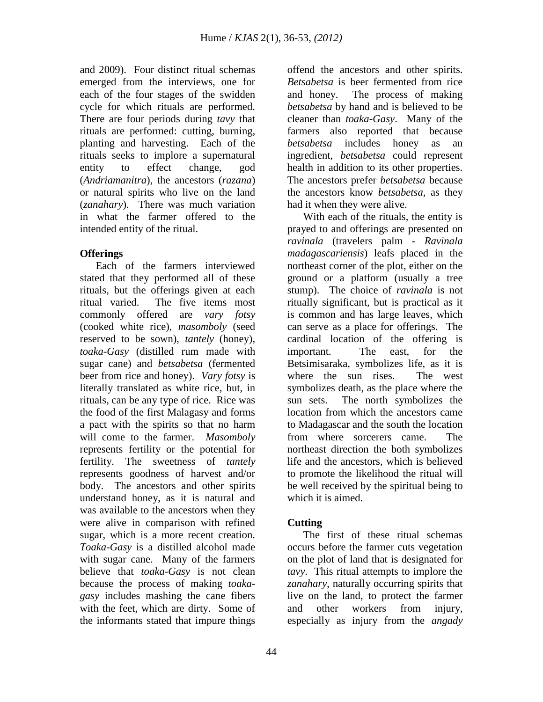and 2009). Four distinct ritual schemas emerged from the interviews, one for each of the four stages of the swidden cycle for which rituals are performed. There are four periods during *tavy* that rituals are performed: cutting, burning, planting and harvesting. Each of the rituals seeks to implore a supernatural entity to effect change, god (*Andriamanitra*), the ancestors (*razana*) or natural spirits who live on the land (*zanahary*). There was much variation in what the farmer offered to the intended entity of the ritual.

## **Offerings**

 Each of the farmers interviewed stated that they performed all of these rituals, but the offerings given at each ritual varied. The five items most commonly offered are *vary fotsy* (cooked white rice), *masomboly* (seed reserved to be sown), *tantely* (honey), *toaka-Gasy* (distilled rum made with sugar cane) and *betsabetsa* (fermented beer from rice and honey). *Vary fotsy* is literally translated as white rice, but, in rituals, can be any type of rice. Rice was the food of the first Malagasy and forms a pact with the spirits so that no harm will come to the farmer. *Masomboly* represents fertility or the potential for fertility. The sweetness of *tantely* represents goodness of harvest and/or body. The ancestors and other spirits understand honey, as it is natural and was available to the ancestors when they were alive in comparison with refined sugar, which is a more recent creation. *Toaka-Gasy* is a distilled alcohol made with sugar cane. Many of the farmers believe that *toaka-Gasy* is not clean because the process of making *toakagasy* includes mashing the cane fibers with the feet, which are dirty. Some of the informants stated that impure things

offend the ancestors and other spirits. *Betsabetsa* is beer fermented from rice and honey. The process of making *betsabetsa* by hand and is believed to be cleaner than *toaka-Gasy*. Many of the farmers also reported that because *betsabetsa* includes honey as an ingredient, *betsabetsa* could represent health in addition to its other properties. The ancestors prefer *betsabetsa* because the ancestors know *betsabetsa,* as they had it when they were alive.

 With each of the rituals, the entity is prayed to and offerings are presented on *ravinala* (travelers palm - *Ravinala madagascariensis*) leafs placed in the northeast corner of the plot, either on the ground or a platform (usually a tree stump). The choice of *ravinala* is not ritually significant, but is practical as it is common and has large leaves, which can serve as a place for offerings. The cardinal location of the offering is important. The east, for the Betsimisaraka, symbolizes life, as it is where the sun rises. The west symbolizes death, as the place where the sun sets. The north symbolizes the location from which the ancestors came to Madagascar and the south the location from where sorcerers came. The northeast direction the both symbolizes life and the ancestors, which is believed to promote the likelihood the ritual will be well received by the spiritual being to which it is aimed.

## **Cutting**

 The first of these ritual schemas occurs before the farmer cuts vegetation on the plot of land that is designated for *tavy*. This ritual attempts to implore the *zanahary*, naturally occurring spirits that live on the land, to protect the farmer and other workers from injury, especially as injury from the *angady*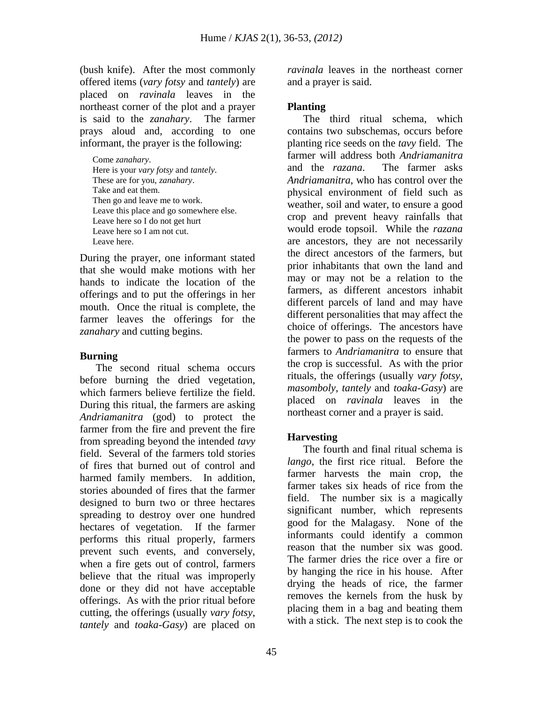(bush knife). After the most commonly offered items (*vary fotsy* and *tantely*) are placed on *ravinala* leaves in the northeast corner of the plot and a prayer is said to the *zanahary*. The farmer prays aloud and, according to one informant, the prayer is the following:

Come *zanahary*. Here is your *vary fotsy* and *tantely*. These are for you, *zanahary*. Take and eat them. Then go and leave me to work. Leave this place and go somewhere else. Leave here so I do not get hurt Leave here so I am not cut. Leave here.

During the prayer, one informant stated that she would make motions with her hands to indicate the location of the offerings and to put the offerings in her mouth. Once the ritual is complete, the farmer leaves the offerings for the *zanahary* and cutting begins.

### **Burning**

 The second ritual schema occurs before burning the dried vegetation, which farmers believe fertilize the field. During this ritual, the farmers are asking *Andriamanitra* (god) to protect the farmer from the fire and prevent the fire from spreading beyond the intended *tavy* field. Several of the farmers told stories of fires that burned out of control and harmed family members. In addition, stories abounded of fires that the farmer designed to burn two or three hectares spreading to destroy over one hundred hectares of vegetation. If the farmer performs this ritual properly, farmers prevent such events, and conversely, when a fire gets out of control, farmers believe that the ritual was improperly done or they did not have acceptable offerings. As with the prior ritual before cutting, the offerings (usually *vary fotsy*, *tantely* and *toaka-Gasy*) are placed on

*ravinala* leaves in the northeast corner and a prayer is said.

## **Planting**

 The third ritual schema, which contains two subschemas, occurs before planting rice seeds on the *tavy* field. The farmer will address both *Andriamanitra* and the *razana*. The farmer asks *Andriamanitra*, who has control over the physical environment of field such as weather, soil and water, to ensure a good crop and prevent heavy rainfalls that would erode topsoil. While the *razana* are ancestors, they are not necessarily the direct ancestors of the farmers, but prior inhabitants that own the land and may or may not be a relation to the farmers, as different ancestors inhabit different parcels of land and may have different personalities that may affect the choice of offerings. The ancestors have the power to pass on the requests of the farmers to *Andriamanitra* to ensure that the crop is successful. As with the prior rituals, the offerings (usually *vary fotsy*, *masomboly*, *tantely* and *toaka-Gasy*) are placed on *ravinala* leaves in the northeast corner and a prayer is said.

## **Harvesting**

 The fourth and final ritual schema is *lango*, the first rice ritual. Before the farmer harvests the main crop, the farmer takes six heads of rice from the field. The number six is a magically significant number, which represents good for the Malagasy. None of the informants could identify a common reason that the number six was good. The farmer dries the rice over a fire or by hanging the rice in his house. After drying the heads of rice, the farmer removes the kernels from the husk by placing them in a bag and beating them with a stick. The next step is to cook the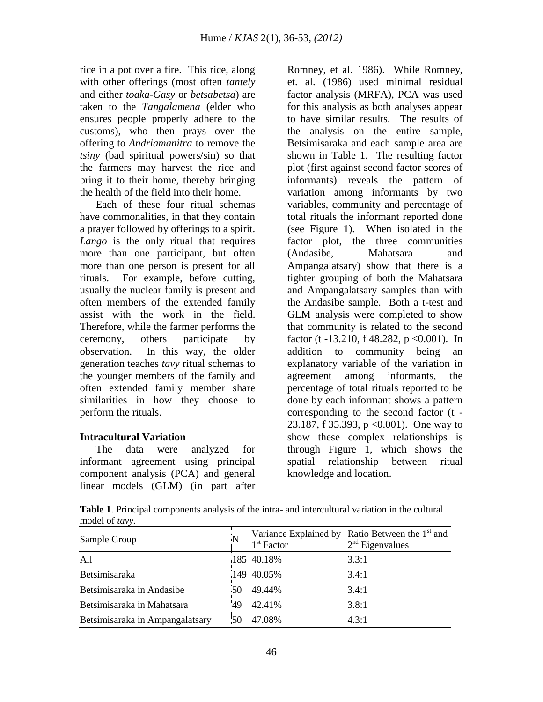rice in a pot over a fire. This rice, along with other offerings (most often *tantely* and either *toaka-Gasy* or *betsabetsa*) are taken to the *Tangalamena* (elder who ensures people properly adhere to the customs), who then prays over the offering to *Andriamanitra* to remove the *tsiny* (bad spiritual powers/sin) so that the farmers may harvest the rice and bring it to their home, thereby bringing the health of the field into their home.

 Each of these four ritual schemas have commonalities, in that they contain a prayer followed by offerings to a spirit. *Lango* is the only ritual that requires more than one participant, but often more than one person is present for all rituals. For example, before cutting, usually the nuclear family is present and often members of the extended family assist with the work in the field. Therefore, while the farmer performs the ceremony, others participate by observation. In this way, the older generation teaches *tavy* ritual schemas to the younger members of the family and often extended family member share similarities in how they choose to perform the rituals.

## **Intracultural Variation**

 The data were analyzed for informant agreement using principal component analysis (PCA) and general linear models (GLM) (in part after Romney, et al. 1986). While Romney, et. al. (1986) used minimal residual factor analysis (MRFA), PCA was used for this analysis as both analyses appear to have similar results. The results of the analysis on the entire sample, Betsimisaraka and each sample area are shown in Table 1. The resulting factor plot (first against second factor scores of informants) reveals the pattern of variation among informants by two variables, community and percentage of total rituals the informant reported done (see Figure 1). When isolated in the factor plot, the three communities (Andasibe, Mahatsara and Ampangalatsary) show that there is a tighter grouping of both the Mahatsara and Ampangalatsary samples than with the Andasibe sample. Both a t-test and GLM analysis were completed to show that community is related to the second factor (t -13.210, f 48.282, p < 0.001). In addition to community being an explanatory variable of the variation in agreement among informants, the percentage of total rituals reported to be done by each informant shows a pattern corresponding to the second factor (t - 23.187, f 35.393, p <0.001). One way to show these complex relationships is through Figure 1, which shows the spatial relationship between ritual knowledge and location.

**Table 1**. Principal components analysis of the intra- and intercultural variation in the cultural model of *tavy.*

| Sample Group                    |    | 1 <sup>st</sup> Factor | Variance Explained by Ratio Between the $1st$ and<br>$2nd$ Eigenvalues |
|---------------------------------|----|------------------------|------------------------------------------------------------------------|
| All                             |    | 185 40.18%             | 3.3:1                                                                  |
| Betsimisaraka                   |    | 149 40.05%             | 3.4:1                                                                  |
| Betsimisaraka in Andasibe       | 50 | 49.44%                 | 3.4:1                                                                  |
| Betsimisaraka in Mahatsara      | 49 | 42.41%                 | 3.8:1                                                                  |
| Betsimisaraka in Ampangalatsary | 50 | 47.08%                 | 4.3:1                                                                  |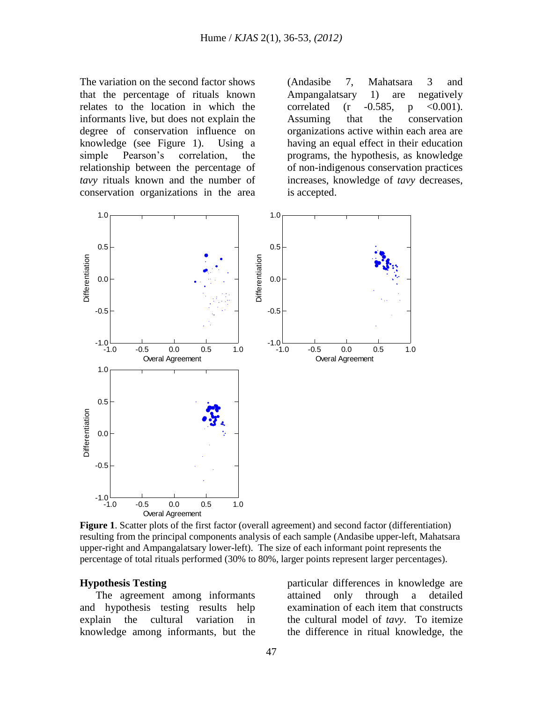The variation on the second factor shows that the percentage of rituals known relates to the location in which the informants live, but does not explain the degree of conservation influence on knowledge (see Figure 1). Using a simple Pearson's correlation, the relationship between the percentage of *tavy* rituals known and the number of conservation organizations in the area (Andasibe 7, Mahatsara 3 and Ampangalatsary 1) are negatively correlated (r  $-0.585$ , p  $\lt 0.001$ ). Assuming that the conservation organizations active within each area are having an equal effect in their education programs, the hypothesis, as knowledge of non-indigenous conservation practices increases, knowledge of *tavy* decreases, is accepted.



**Figure 1**. Scatter plots of the first factor (overall agreement) and second factor (differentiation) resulting from the principal components analysis of each sample (Andasibe upper-left, Mahatsara upper-right and Ampangalatsary lower-left). The size of each informant point represents the percentage of total rituals performed (30% to 80%, larger points represent larger percentages).

#### **Hypothesis Testing**

 The agreement among informants and hypothesis testing results help explain the cultural variation in knowledge among informants, but the

particular differences in knowledge are attained only through a detailed examination of each item that constructs the cultural model of *tavy*. To itemize the difference in ritual knowledge, the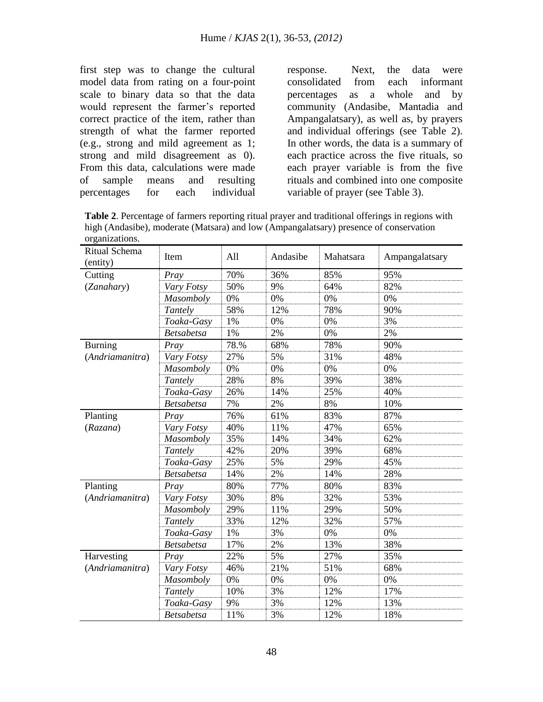first step was to change the cultural model data from rating on a four-point scale to binary data so that the data would represent the farmer's reported correct practice of the item, rather than strength of what the farmer reported (e.g., strong and mild agreement as 1; strong and mild disagreement as 0). From this data, calculations were made of sample means and resulting percentages for each individual response. Next, the data were consolidated from each informant percentages as a whole and by community (Andasibe, Mantadia and Ampangalatsary), as well as, by prayers and individual offerings (see Table 2). In other words, the data is a summary of each practice across the five rituals, so each prayer variable is from the five rituals and combined into one composite variable of prayer (see Table 3).

**Table 2**. Percentage of farmers reporting ritual prayer and traditional offerings in regions with high (Andasibe), moderate (Matsara) and low (Ampangalatsary) presence of conservation organizations.

| Ritual Schema<br>(entity) | Item              | All  | Andasibe | Mahatsara | Ampangalatsary |
|---------------------------|-------------------|------|----------|-----------|----------------|
| Cutting                   | Pray              | 70%  | 36%      | 85%       | 95%            |
| (Zanahary)                | Vary Fotsy        | 50%  | 9%       | 64%       | 82%            |
|                           | Masomboly         | 0%   | 0%       | 0%        | 0%             |
|                           | Tantely           | 58%  | 12%      | 78%       | 90%            |
|                           | Toaka-Gasy        | 1%   | 0%       | 0%        | 3%             |
|                           | <b>Betsabetsa</b> | 1%   | 2%       | 0%        | 2%             |
| <b>Burning</b>            | Pray              | 78.% | 68%      | 78%       | 90%            |
| (Andriamanitra)           | Vary Fotsy        | 27%  | 5%       | 31%       | 48%            |
|                           | Masomboly         | 0%   | 0%       | 0%        | 0%             |
|                           | Tantely           | 28%  | 8%       | 39%       | 38%            |
|                           | Toaka-Gasy        | 26%  | 14%      | 25%       | 40%            |
|                           | <b>Betsabetsa</b> | 7%   | 2%       | 8%        | 10%            |
| Planting                  | Pray              | 76%  | 61%      | 83%       | 87%            |
| (Razana)                  | Vary Fotsy        | 40%  | 11%      | 47%       | 65%            |
|                           | Masomboly         | 35%  | 14%      | 34%       | 62%            |
|                           | Tantely           | 42%  | 20%      | 39%       | 68%            |
|                           | Toaka-Gasy        | 25%  | 5%       | 29%       | 45%            |
|                           | <b>Betsabetsa</b> | 14%  | 2%       | 14%       | 28%            |
| Planting                  | Pray              | 80%  | 77%      | 80%       | 83%            |
| (Andriamanitra)           | Vary Fotsy        | 30%  | 8%       | 32%       | 53%            |
|                           | Masomboly         | 29%  | 11%      | 29%       | 50%            |
|                           | Tantely           | 33%  | 12%      | 32%       | 57%            |
|                           | Toaka-Gasy        | 1%   | 3%       | 0%        | 0%             |
|                           | <b>Betsabetsa</b> | 17%  | 2%       | 13%       | 38%            |
| Harvesting                | Pray              | 22%  | 5%       | 27%       | 35%            |
| (Andriamanitra)           | Vary Fotsy        | 46%  | 21%      | 51%       | 68%            |
|                           | Masomboly         | 0%   | 0%       | 0%        | 0%             |
|                           | Tantely           | 10%  | 3%       | 12%       | 17%            |
|                           | Toaka-Gasy        | 9%   | 3%       | 12%       | 13%            |
|                           | <b>Betsabetsa</b> | 11%  | 3%       | 12%       | 18%            |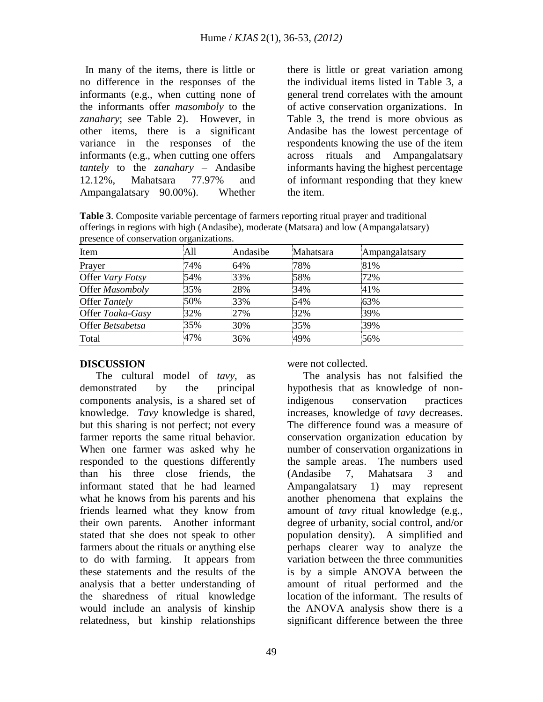In many of the items, there is little or no difference in the responses of the informants (e.g., when cutting none of the informants offer *masomboly* to the *zanahary*; see Table 2). However, in other items, there is a significant variance in the responses of the informants (e.g., when cutting one offers *tantely* to the *zanahary* – Andasibe 12.12%, Mahatsara 77.97% and Ampangalatsary 90.00%). Whether there is little or great variation among the individual items listed in Table 3, a general trend correlates with the amount of active conservation organizations. In Table 3, the trend is more obvious as Andasibe has the lowest percentage of respondents knowing the use of the item across rituals and Ampangalatsary informants having the highest percentage of informant responding that they knew the item.

**Table 3**. Composite variable percentage of farmers reporting ritual prayer and traditional offerings in regions with high (Andasibe), moderate (Matsara) and low (Ampangalatsary) presence of conservation organizations.

| Item             | All | Andasibe | Mahatsara | Ampangalatsary |
|------------------|-----|----------|-----------|----------------|
| Prayer           | 74% | 64%      | 78%       | 81%            |
| Offer Vary Fotsy | 54% | 33%      | 58%       | 72%            |
| Offer Masomboly  | 35% | 28%      | 34%       | 41%            |
| Offer Tantely    | 50% | 33%      | 54%       | 63%            |
| Offer Toaka-Gasy | 32% | 27%      | 32%       | 39%            |
| Offer Betsabetsa | 35% | 30%      | 35%       | 39%            |
| Total            | 47% | 36%      | 49%       | 56%            |

## **DISCUSSION**

 The cultural model of *tavy*, as demonstrated by the principal components analysis, is a shared set of knowledge. *Tavy* knowledge is shared, but this sharing is not perfect; not every farmer reports the same ritual behavior. When one farmer was asked why he responded to the questions differently than his three close friends, the informant stated that he had learned what he knows from his parents and his friends learned what they know from their own parents. Another informant stated that she does not speak to other farmers about the rituals or anything else to do with farming. It appears from these statements and the results of the analysis that a better understanding of the sharedness of ritual knowledge would include an analysis of kinship relatedness, but kinship relationships

were not collected.

 The analysis has not falsified the hypothesis that as knowledge of nonindigenous conservation practices increases, knowledge of *tavy* decreases. The difference found was a measure of conservation organization education by number of conservation organizations in the sample areas. The numbers used (Andasibe 7, Mahatsara 3 and Ampangalatsary 1) may represent another phenomena that explains the amount of *tavy* ritual knowledge (e.g., degree of urbanity, social control, and/or population density). A simplified and perhaps clearer way to analyze the variation between the three communities is by a simple ANOVA between the amount of ritual performed and the location of the informant. The results of the ANOVA analysis show there is a significant difference between the three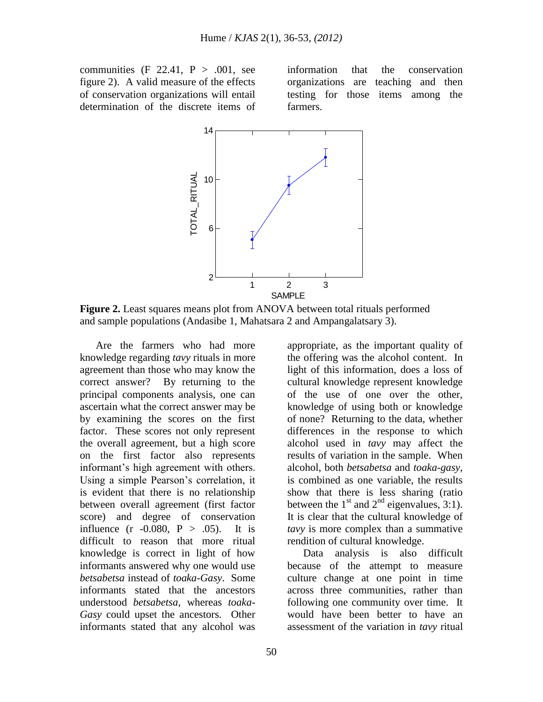communities  $(F \ 22.41, P > .001, \text{ see})$ figure 2). A valid measure of the effects of conservation organizations will entail determination of the discrete items of

information that the conservation organizations are teaching and then ntail testing for those items among the farmers.



**Figure 2.** Least squares means plot from ANOVA between total rituals performed and sample populations (Andasibe 1, Mahatsara 2 and Ampangalatsary 3).

 Are the farmers who had more knowledge regarding *tavy* rituals in more agreement than those who may know the correct answer? By returning to the principal components analysis, one can ascertain what the correct answer may be by examining the scores on the first factor. These scores not only represent the overall agreement, but a high score on the first factor also represents informant's high agreement with others. Using a simple Pearson's correlation, it is evident that there is no relationship between overall agreement (first factor score) and degree of conservation influence  $(r -0.080, P > .05)$ . It is difficult to reason that more ritual knowledge is correct in light of how informants answered why one would use *betsabetsa* instead of *toaka-Gasy*. Some informants stated that the ancestors understood *betsabetsa*, whereas *toaka-Gasy* could upset the ancestors. Other informants stated that any alcohol was

knowledge of using both or knowledge of none? Returning to the data, whether differences in the response to which alcohol used in *tavy* may affect the results of variation in the sample. When alcohol, both *betsabetsa* and *toaka-gasy*, is combined as one variable, the results show that there is less sharing (ratio between the  $1<sup>st</sup>$  and  $2<sup>nd</sup>$  eigenvalues, 3:1). It is clear that the cultural knowledge of *tavy* is more complex than a summative rendition of cultural knowledge. Data analysis is also difficult because of the attempt to measure

appropriate, as the important quality of the offering was the alcohol content. In light of this information, does a loss of cultural knowledge represent knowledge of the use of one over the other,

culture change at one point in time across three communities, rather than following one community over time. It would have been better to have an assessment of the variation in *tavy* ritual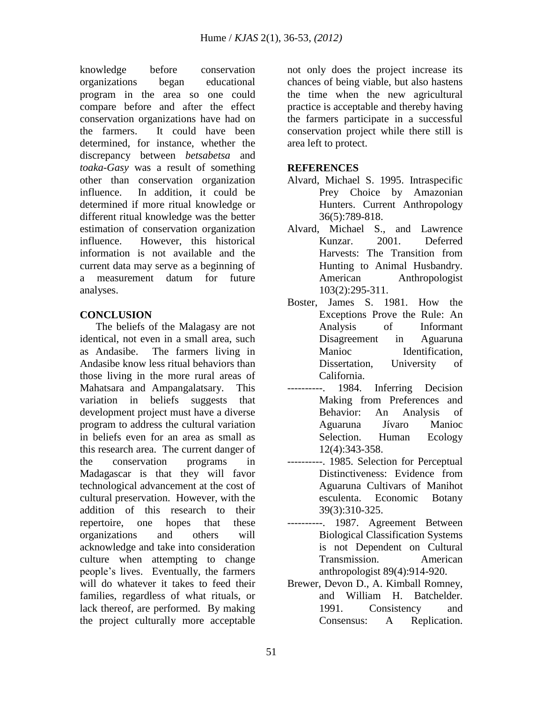knowledge before conservation organizations began educational program in the area so one could compare before and after the effect conservation organizations have had on the farmers. It could have been determined, for instance, whether the discrepancy between *betsabetsa* and *toaka-Gasy* was a result of something other than conservation organization influence. In addition, it could be determined if more ritual knowledge or different ritual knowledge was the better estimation of conservation organization influence. However, this historical information is not available and the current data may serve as a beginning of a measurement datum for future analyses.

## **CONCLUSION**

The beliefs of the Malagasy are not identical, not even in a small area, such as Andasibe. The farmers living in Andasibe know less ritual behaviors than those living in the more rural areas of Mahatsara and Ampangalatsary. This variation in beliefs suggests that development project must have a diverse program to address the cultural variation in beliefs even for an area as small as this research area. The current danger of the conservation programs in Madagascar is that they will favor technological advancement at the cost of cultural preservation. However, with the addition of this research to their repertoire, one hopes that these organizations and others will acknowledge and take into consideration culture when attempting to change people's lives. Eventually, the farmers will do whatever it takes to feed their families, regardless of what rituals, or lack thereof, are performed. By making the project culturally more acceptable

not only does the project increase its chances of being viable, but also hastens the time when the new agricultural practice is acceptable and thereby having the farmers participate in a successful conservation project while there still is area left to protect.

#### **REFERENCES**

- Alvard, Michael S. 1995. Intraspecific Prey Choice by Amazonian Hunters. Current Anthropology 36(5):789-818.
- Alvard, Michael S., and Lawrence Kunzar. 2001. Deferred Harvests: The Transition from Hunting to Animal Husbandry. American Anthropologist 103(2):295-311.
- Boster, James S. 1981. How the Exceptions Prove the Rule: An Analysis of Informant Disagreement in Aguaruna Manioc Identification, Dissertation, University of California.
- ----------. 1984. Inferring Decision Making from Preferences and Behavior: An Analysis of Aguaruna Jívaro Manioc Selection. Human Ecology 12(4):343-358.
- ----------. 1985. Selection for Perceptual Distinctiveness: Evidence from Aguaruna Cultivars of Manihot esculenta. Economic Botany 39(3):310-325.
- ----------. 1987. Agreement Between Biological Classification Systems is not Dependent on Cultural Transmission. American anthropologist 89(4):914-920.
- Brewer, Devon D., A. Kimball Romney, and William H. Batchelder. 1991. Consistency and Consensus: A Replication.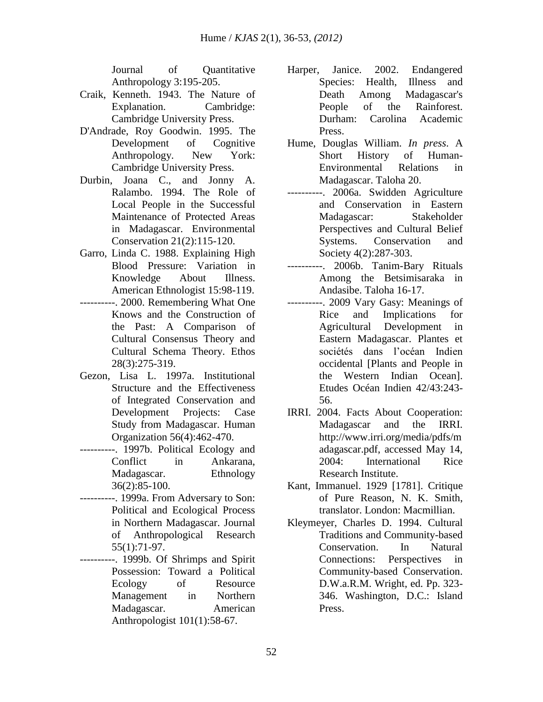Journal of Quantitative Anthropology 3:195-205.

- Craik, Kenneth. 1943. The Nature of Explanation. Cambridge: Cambridge University Press.
- D'Andrade, Roy Goodwin. 1995. The Development of Cognitive Anthropology. New York: Cambridge University Press.
- Durbin, Joana C., and Jonny A. Ralambo. 1994. The Role of Local People in the Successful Maintenance of Protected Areas in Madagascar. Environmental Conservation 21(2):115-120.
- Garro, Linda C. 1988. Explaining High Blood Pressure: Variation in Knowledge About Illness. American Ethnologist 15:98-119.
- ----------. 2000. Remembering What One Knows and the Construction of the Past: A Comparison of Cultural Consensus Theory and Cultural Schema Theory. Ethos 28(3):275-319.
- Gezon, Lisa L. 1997a. Institutional Structure and the Effectiveness of Integrated Conservation and Development Projects: Case Study from Madagascar. Human Organization 56(4):462-470.
- ----------. 1997b. Political Ecology and Conflict in Ankarana, Madagascar. Ethnology 36(2):85-100.
- ----------. 1999a. From Adversary to Son: Political and Ecological Process in Northern Madagascar. Journal of Anthropological Research 55(1):71-97.
- --. 1999b. Of Shrimps and Spirit Possession: Toward a Political Ecology of Resource Management in Northern Madagascar. American Anthropologist 101(1):58-67.
- Harper, Janice. 2002. Endangered Species: Health, Illness and Death Among Madagascar's People of the Rainforest. Durham: Carolina Academic Press.
- Hume, Douglas William. *In press*. A Short History of Human-Environmental Relations in Madagascar. Taloha 20.
- ----------. 2006a. Swidden Agriculture and Conservation in Eastern Madagascar: Stakeholder Perspectives and Cultural Belief Systems. Conservation and Society 4(2):287-303.
- ----------. 2006b. Tanim-Bary Rituals Among the Betsimisaraka in Andasibe. Taloha 16-17.
- ----------. 2009 Vary Gasy: Meanings of Rice and Implications for Agricultural Development in Eastern Madagascar. Plantes et sociétés dans l'océan Indien occidental [Plants and People in the Western Indian Ocean]. Etudes Océan Indien 42/43:243- 56.
- IRRI. 2004. Facts About Cooperation: Madagascar and the IRRI. http://www.irri.org/media/pdfs/m adagascar.pdf, accessed May 14, 2004: International Rice Research Institute.
- Kant, Immanuel. 1929 [1781]. Critique of Pure Reason, N. K. Smith, translator. London: Macmillian.
- Kleymeyer, Charles D. 1994. Cultural Traditions and Community-based Conservation. In Natural Connections: Perspectives in Community-based Conservation. D.W.a.R.M. Wright, ed. Pp. 323- 346. Washington, D.C.: Island Press.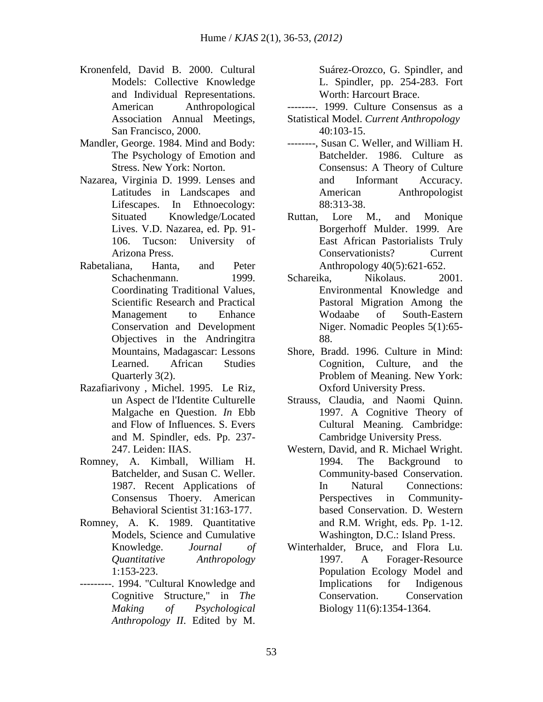- Kronenfeld, David B. 2000. Cultural Models: Collective Knowledge and Individual Representations. American Anthropological Association Annual Meetings, San Francisco, 2000.
- Mandler, George. 1984. Mind and Body: The Psychology of Emotion and Stress. New York: Norton.
- Nazarea, Virginia D. 1999. Lenses and Latitudes in Landscapes and Lifescapes. In Ethnoecology: Situated Knowledge/Located Lives. V.D. Nazarea, ed. Pp. 91- 106. Tucson: University of Arizona Press.
- Rabetaliana, Hanta, and Peter Schachenmann. 1999. Coordinating Traditional Values, Scientific Research and Practical Management to Enhance Conservation and Development Objectives in the Andringitra Mountains, Madagascar: Lessons Learned. African Studies Quarterly 3(2).
- Razafiarivony , Michel. 1995. Le Riz, un Aspect de l'Identite Culturelle Malgache en Question. *In* Ebb and Flow of Influences. S. Evers and M. Spindler, eds. Pp. 237- 247. Leiden: IIAS.
- Romney, A. Kimball, William H. Batchelder, and Susan C. Weller. 1987. Recent Applications of Consensus Thoery. American Behavioral Scientist 31:163-177.
- Romney, A. K. 1989. Quantitative Models, Science and Cumulative Knowledge. *Journal of Quantitative Anthropology* 1:153-223.
- ---------. 1994. "Cultural Knowledge and Cognitive Structure," in *The Making of Psychological Anthropology II*. Edited by M.

Suárez-Orozco, G. Spindler, and L. Spindler, pp. 254-283. Fort Worth: Harcourt Brace.

- --------. 1999. Culture Consensus as a Statistical Model. *Current Anthropology* 40:103-15.
- --------, Susan C. Weller, and William H. Batchelder. 1986. Culture as Consensus: A Theory of Culture and Informant Accuracy. American Anthropologist 88:313-38.
- Ruttan, Lore M., and Monique Borgerhoff Mulder. 1999. Are East African Pastorialists Truly Conservationists? Current Anthropology 40(5):621-652.
- Schareika. Nikolaus. 2001. Environmental Knowledge and Pastoral Migration Among the Wodaabe of South-Eastern Niger. Nomadic Peoples 5(1):65- 88.
- Shore, Bradd. 1996. Culture in Mind: Cognition, Culture, and the Problem of Meaning. New York: Oxford University Press.
- Strauss, Claudia, and Naomi Quinn. 1997. A Cognitive Theory of Cultural Meaning. Cambridge: Cambridge University Press.
- Western, David, and R. Michael Wright. 1994. The Background to Community-based Conservation. In Natural Connections: Perspectives in Communitybased Conservation. D. Western and R.M. Wright, eds. Pp. 1-12. Washington, D.C.: Island Press.
- Winterhalder, Bruce, and Flora Lu. 1997. A Forager-Resource Population Ecology Model and Implications for Indigenous Conservation. Conservation Biology 11(6):1354-1364.